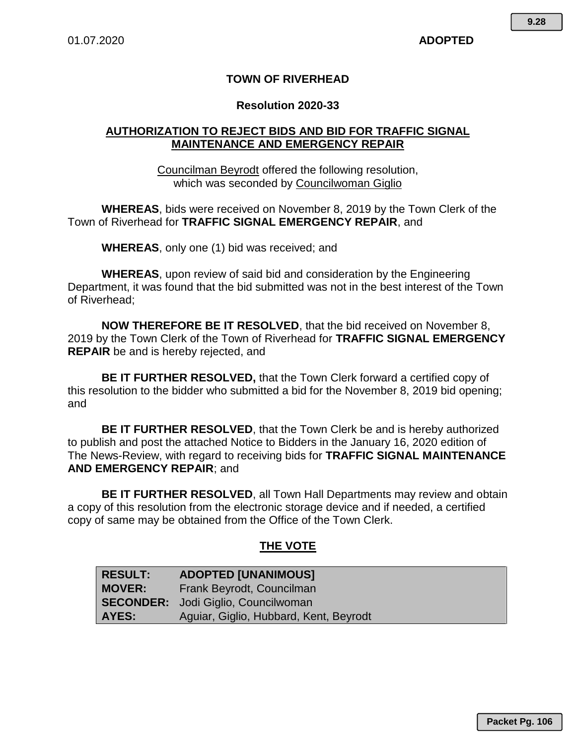#### **TOWN OF RIVERHEAD**

#### **Resolution 2020-33**

### **AUTHORIZATION TO REJECT BIDS AND BID FOR TRAFFIC SIGNAL MAINTENANCE AND EMERGENCY REPAIR**

Councilman Beyrodt offered the following resolution, which was seconded by Councilwoman Giglio

**WHEREAS**, bids were received on November 8, 2019 by the Town Clerk of the Town of Riverhead for **TRAFFIC SIGNAL EMERGENCY REPAIR**, and

**WHEREAS**, only one (1) bid was received; and

**WHEREAS**, upon review of said bid and consideration by the Engineering Department, it was found that the bid submitted was not in the best interest of the Town of Riverhead;

**NOW THEREFORE BE IT RESOLVED**, that the bid received on November 8, 2019 by the Town Clerk of the Town of Riverhead for **TRAFFIC SIGNAL EMERGENCY REPAIR** be and is hereby rejected, and

**BE IT FURTHER RESOLVED,** that the Town Clerk forward a certified copy of this resolution to the bidder who submitted a bid for the November 8, 2019 bid opening; and

**BE IT FURTHER RESOLVED**, that the Town Clerk be and is hereby authorized to publish and post the attached Notice to Bidders in the January 16, 2020 edition of The News-Review, with regard to receiving bids for **TRAFFIC SIGNAL MAINTENANCE AND EMERGENCY REPAIR**; and

**BE IT FURTHER RESOLVED**, all Town Hall Departments may review and obtain a copy of this resolution from the electronic storage device and if needed, a certified copy of same may be obtained from the Office of the Town Clerk.

### **THE VOTE**

| <b>RESULT:</b> | <b>ADOPTED [UNANIMOUS]</b>                 |
|----------------|--------------------------------------------|
| <b>MOVER:</b>  | Frank Beyrodt, Councilman                  |
|                | <b>SECONDER:</b> Jodi Giglio, Councilwoman |
| AYES:          | Aguiar, Giglio, Hubbard, Kent, Beyrodt     |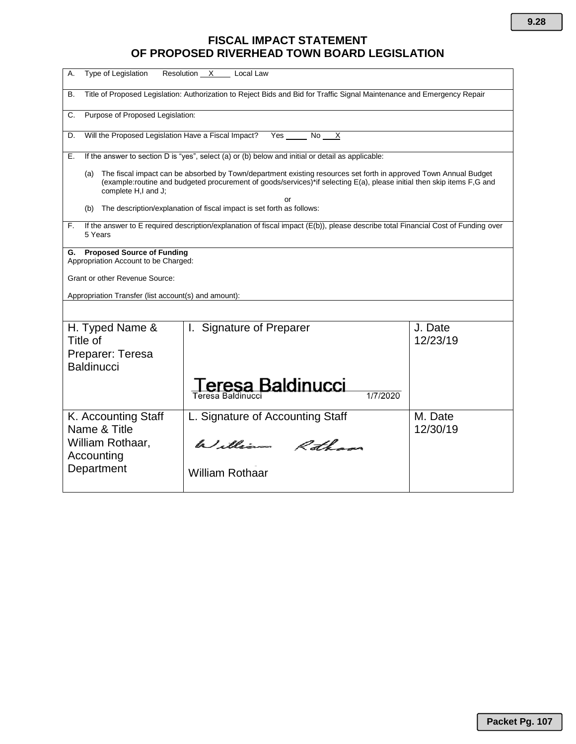## **FISCAL IMPACT STATEMENT OF PROPOSED RIVERHEAD TOWN BOARD LEGISLATION**

| Type of Legislation<br>А.<br>Resolution X<br>Local Law                                                                                                                                                                                                                   |                                                   |                     |  |
|--------------------------------------------------------------------------------------------------------------------------------------------------------------------------------------------------------------------------------------------------------------------------|---------------------------------------------------|---------------------|--|
| Title of Proposed Legislation: Authorization to Reject Bids and Bid for Traffic Signal Maintenance and Emergency Repair<br>В.                                                                                                                                            |                                                   |                     |  |
| Purpose of Proposed Legislation:<br>C.                                                                                                                                                                                                                                   |                                                   |                     |  |
| Will the Proposed Legislation Have a Fiscal Impact?<br>Yes<br>No l<br>$\times$<br>D.                                                                                                                                                                                     |                                                   |                     |  |
| If the answer to section D is "yes", select (a) or (b) below and initial or detail as applicable:<br>Е.                                                                                                                                                                  |                                                   |                     |  |
| The fiscal impact can be absorbed by Town/department existing resources set forth in approved Town Annual Budget<br>(a)<br>(example:routine and budgeted procurement of goods/services)*if selecting E(a), please initial then skip items F,G and<br>complete H,I and J; |                                                   |                     |  |
| or<br>The description/explanation of fiscal impact is set forth as follows:<br>(b)                                                                                                                                                                                       |                                                   |                     |  |
| If the answer to E required description/explanation of fiscal impact (E(b)), please describe total Financial Cost of Funding over<br>F.<br>5 Years                                                                                                                       |                                                   |                     |  |
| <b>Proposed Source of Funding</b><br>G.<br>Appropriation Account to be Charged:                                                                                                                                                                                          |                                                   |                     |  |
| Grant or other Revenue Source:                                                                                                                                                                                                                                           |                                                   |                     |  |
| Appropriation Transfer (list account(s) and amount):                                                                                                                                                                                                                     |                                                   |                     |  |
|                                                                                                                                                                                                                                                                          |                                                   |                     |  |
| H. Typed Name &<br>Title of<br>Preparer: Teresa<br><b>Baldinucci</b>                                                                                                                                                                                                     | I. Signature of Preparer                          | J. Date<br>12/23/19 |  |
|                                                                                                                                                                                                                                                                          | eresa Baldinucci<br>1/7/2020<br>Teresa Baldinucci |                     |  |
| K. Accounting Staff<br>Name & Title                                                                                                                                                                                                                                      | L. Signature of Accounting Staff                  | M. Date<br>12/30/19 |  |
| William Rothaar,<br>Accounting                                                                                                                                                                                                                                           | William Rothans                                   |                     |  |
| Department                                                                                                                                                                                                                                                               | <b>William Rothaar</b>                            |                     |  |